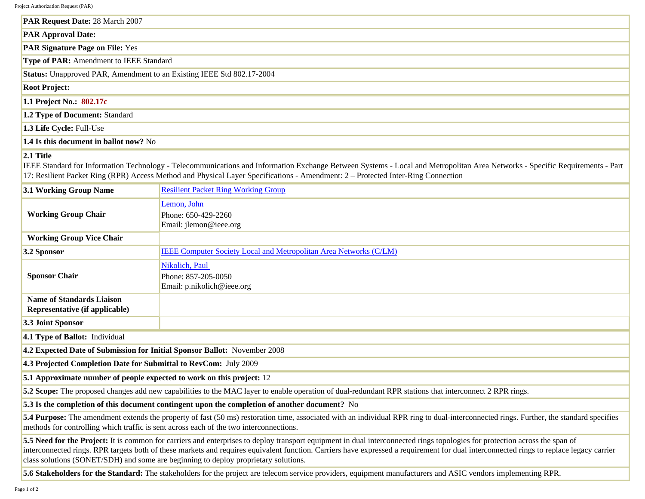Project Authorization Request (PAR)

| PAR Request Date: 28 March 2007                                       |  |
|-----------------------------------------------------------------------|--|
| <b>PAR Approval Date:</b>                                             |  |
| <b>PAR Signature Page on File: Yes</b>                                |  |
| Type of PAR: Amendment to IEEE Standard                               |  |
| Status: Unapproved PAR, Amendment to an Existing IEEE Std 802.17-2004 |  |
| <b>Root Project:</b>                                                  |  |
| 1.1 Project No.: 802.17c                                              |  |
| 1.2 Type of Document: Standard                                        |  |
| 1.3 Life Cycle: Full-Use                                              |  |
| 1.4 Is this document in ballot now? No                                |  |

## **2.1 Title**

IEEE Standard for Information Technology - Telecommunications and Information Exchange Between Systems - Local and Metropolitan Area Networks - Specific Requirements - Part 17: Resilient Packet Ring (RPR) Access Method and Physical Layer Specifications - Amendment: 2 – Protected Inter-Ring Connection

| 3.1 Working Group Name                                                                                                                                                                                                                                                                                                                                                                                                                                        | <b>Resilient Packet Ring Working Group</b>                          |  |
|---------------------------------------------------------------------------------------------------------------------------------------------------------------------------------------------------------------------------------------------------------------------------------------------------------------------------------------------------------------------------------------------------------------------------------------------------------------|---------------------------------------------------------------------|--|
| <b>Working Group Chair</b>                                                                                                                                                                                                                                                                                                                                                                                                                                    | Lemon, John<br>Phone: 650-429-2260<br>Email: jlemon@ieee.org        |  |
| <b>Working Group Vice Chair</b>                                                                                                                                                                                                                                                                                                                                                                                                                               |                                                                     |  |
| 3.2 Sponsor                                                                                                                                                                                                                                                                                                                                                                                                                                                   | IEEE Computer Society Local and Metropolitan Area Networks (C/LM)   |  |
| <b>Sponsor Chair</b>                                                                                                                                                                                                                                                                                                                                                                                                                                          | Nikolich, Paul<br>Phone: 857-205-0050<br>Email: p.nikolich@ieee.org |  |
| <b>Name of Standards Liaison</b><br>Representative (if applicable)                                                                                                                                                                                                                                                                                                                                                                                            |                                                                     |  |
| 3.3 Joint Sponsor                                                                                                                                                                                                                                                                                                                                                                                                                                             |                                                                     |  |
| 4.1 Type of Ballot: Individual                                                                                                                                                                                                                                                                                                                                                                                                                                |                                                                     |  |
| 4.2 Expected Date of Submission for Initial Sponsor Ballot: November 2008                                                                                                                                                                                                                                                                                                                                                                                     |                                                                     |  |
| 4.3 Projected Completion Date for Submittal to RevCom: July 2009                                                                                                                                                                                                                                                                                                                                                                                              |                                                                     |  |
| 5.1 Approximate number of people expected to work on this project: 12                                                                                                                                                                                                                                                                                                                                                                                         |                                                                     |  |
| 5.2 Scope: The proposed changes add new capabilities to the MAC layer to enable operation of dual-redundant RPR stations that interconnect 2 RPR rings.                                                                                                                                                                                                                                                                                                       |                                                                     |  |
| 5.3 Is the completion of this document contingent upon the completion of another document? No                                                                                                                                                                                                                                                                                                                                                                 |                                                                     |  |
| 5.4 Purpose: The amendment extends the property of fast (50 ms) restoration time, associated with an individual RPR ring to dual-interconnected rings. Further, the standard specifies<br>methods for controlling which traffic is sent across each of the two interconnections.                                                                                                                                                                              |                                                                     |  |
| 5.5 Need for the Project: It is common for carriers and enterprises to deploy transport equipment in dual interconnected rings topologies for protection across the span of<br>interconnected rings. RPR targets both of these markets and requires equivalent function. Carriers have expressed a requirement for dual interconnected rings to replace legacy carrier<br>class solutions (SONET/SDH) and some are beginning to deploy proprietary solutions. |                                                                     |  |

**5.6 Stakeholders for the Standard:** The stakeholders for the project are telecom service providers, equipment manufacturers and ASIC vendors implementing RPR.